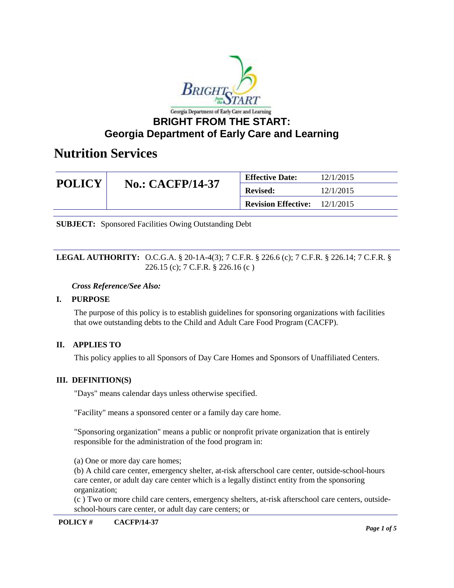

| <b>POLICY</b> | <b>No.: CACFP/14-37</b> | <b>Effective Date:</b>     | 12/1/2015 |
|---------------|-------------------------|----------------------------|-----------|
|               |                         | <b>Revised:</b>            | 12/1/2015 |
|               |                         | <b>Revision Effective:</b> | 12/1/2015 |

**SUBJECT:** Sponsored Facilities Owing Outstanding Debt

#### **LEGAL AUTHORITY:** O.C.G.A. § 20-1A-4(3); 7 C.F.R. § 226.6 (c); 7 C.F.R. § 226.14; 7 C.F.R. § 226.15 (c); 7 C.F.R. § 226.16 (c )

#### *Cross Reference/See Also:*

### **I. PURPOSE**

The purpose of this policy is to establish guidelines for sponsoring organizations with facilities that owe outstanding debts to the Child and Adult Care Food Program (CACFP).

### **II. APPLIES TO**

This policy applies to all Sponsors of Day Care Homes and Sponsors of Unaffiliated Centers.

### **III. DEFINITION(S)**

"Days" means calendar days unless otherwise specified.

"Facility" means a sponsored center or a family day care home.

"Sponsoring organization" means a public or nonprofit private organization that is entirely responsible for the administration of the food program in:

(a) One or more day care homes;

(b) A child care center, emergency shelter, at-risk afterschool care center, outside-school-hours care center, or adult day care center which is a legally distinct entity from the sponsoring organization;

(c ) Two or more child care centers, emergency shelters, at-risk afterschool care centers, outsideschool-hours care center, or adult day care centers; or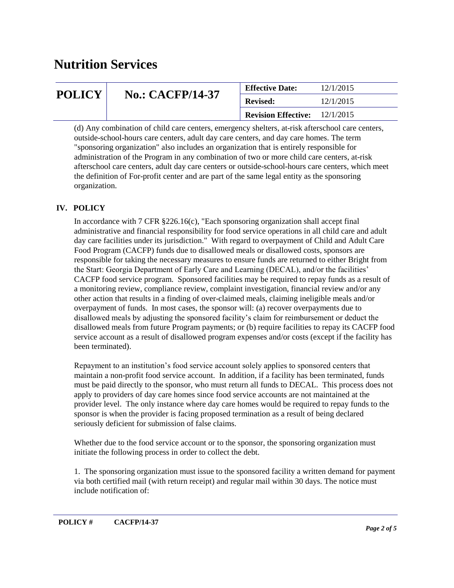| <b>POLICY</b> | <b>No.: CACFP/14-37</b> | <b>Effective Date:</b>     | 12/1/2015 |
|---------------|-------------------------|----------------------------|-----------|
|               |                         | <b>Revised:</b>            | 12/1/2015 |
|               |                         | <b>Revision Effective:</b> | 12/1/2015 |

(d) Any combination of child care centers, emergency shelters, at-risk afterschool care centers, outside-school-hours care centers, adult day care centers, and day care homes. The term "sponsoring organization" also includes an organization that is entirely responsible for administration of the Program in any combination of two or more child care centers, at-risk afterschool care centers, adult day care centers or outside-school-hours care centers, which meet the definition of For-profit center and are part of the same legal entity as the sponsoring organization.

## **IV. POLICY**

In accordance with 7 CFR §226.16(c), "Each sponsoring organization shall accept final administrative and financial responsibility for food service operations in all child care and adult day care facilities under its jurisdiction." With regard to overpayment of Child and Adult Care Food Program (CACFP) funds due to disallowed meals or disallowed costs, sponsors are responsible for taking the necessary measures to ensure funds are returned to either Bright from the Start: Georgia Department of Early Care and Learning (DECAL), and/or the facilities' CACFP food service program. Sponsored facilities may be required to repay funds as a result of a monitoring review, compliance review, complaint investigation, financial review and/or any other action that results in a finding of over-claimed meals, claiming ineligible meals and/or overpayment of funds. In most cases, the sponsor will: (a) recover overpayments due to disallowed meals by adjusting the sponsored facility's claim for reimbursement or deduct the disallowed meals from future Program payments; or (b) require facilities to repay its CACFP food service account as a result of disallowed program expenses and/or costs (except if the facility has been terminated).

Repayment to an institution's food service account solely applies to sponsored centers that maintain a non-profit food service account. In addition, if a facility has been terminated, funds must be paid directly to the sponsor, who must return all funds to DECAL. This process does not apply to providers of day care homes since food service accounts are not maintained at the provider level. The only instance where day care homes would be required to repay funds to the sponsor is when the provider is facing proposed termination as a result of being declared seriously deficient for submission of false claims.

Whether due to the food service account or to the sponsor, the sponsoring organization must initiate the following process in order to collect the debt.

1. The sponsoring organization must issue to the sponsored facility a written demand for payment via both certified mail (with return receipt) and regular mail within 30 days. The notice must include notification of: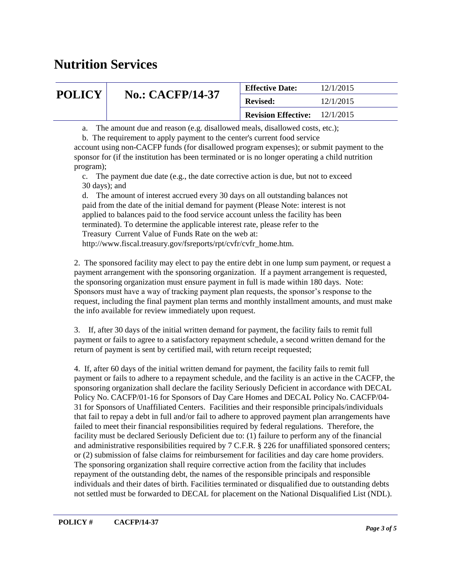| <b>POLICY</b> | <b>No.: CACFP/14-37</b> | <b>Effective Date:</b>                 | 12/1/2015 |
|---------------|-------------------------|----------------------------------------|-----------|
|               |                         | <b>Revised:</b>                        | 12/1/2015 |
|               |                         | <b>Revision Effective:</b> $12/1/2015$ |           |

a. The amount due and reason (e.g. disallowed meals, disallowed costs, etc.);

b. The requirement to apply payment to the center's current food service

account using non-CACFP funds (for disallowed program expenses); or submit payment to the sponsor for (if the institution has been terminated or is no longer operating a child nutrition program);

 c. The payment due date (e.g., the date corrective action is due, but not to exceed 30 days); and

 d. The amount of interest accrued every 30 days on all outstanding balances not paid from the date of the initial demand for payment (Please Note: interest is not applied to balances paid to the food service account unless the facility has been terminated). To determine the applicable interest rate, please refer to the Treasury Current Value of Funds Rate on the web at:

http://www.fiscal.treasury.gov/fsreports/rpt/cvfr/cvfr home.htm.

2. The sponsored facility may elect to pay the entire debt in one lump sum payment, or request a payment arrangement with the sponsoring organization. If a payment arrangement is requested, the sponsoring organization must ensure payment in full is made within 180 days. Note: Sponsors must have a way of tracking payment plan requests, the sponsor's response to the request, including the final payment plan terms and monthly installment amounts, and must make the info available for review immediately upon request.

3. If, after 30 days of the initial written demand for payment, the facility fails to remit full payment or fails to agree to a satisfactory repayment schedule, a second written demand for the return of payment is sent by certified mail, with return receipt requested;

4. If, after 60 days of the initial written demand for payment, the facility fails to remit full payment or fails to adhere to a repayment schedule, and the facility is an active in the CACFP, the sponsoring organization shall declare the facility Seriously Deficient in accordance with DECAL Policy No. CACFP/01-16 for Sponsors of Day Care Homes and DECAL Policy No. CACFP/04- 31 for Sponsors of Unaffiliated Centers. Facilities and their responsible principals/individuals that fail to repay a debt in full and/or fail to adhere to approved payment plan arrangements have failed to meet their financial responsibilities required by federal regulations. Therefore, the facility must be declared Seriously Deficient due to: (1) failure to perform any of the financial and administrative responsibilities required by 7 C.F.R. § 226 for unaffiliated sponsored centers; or (2) submission of false claims for reimbursement for facilities and day care home providers. The sponsoring organization shall require corrective action from the facility that includes repayment of the outstanding debt, the names of the responsible principals and responsible individuals and their dates of birth. Facilities terminated or disqualified due to outstanding debts not settled must be forwarded to DECAL for placement on the National Disqualified List (NDL).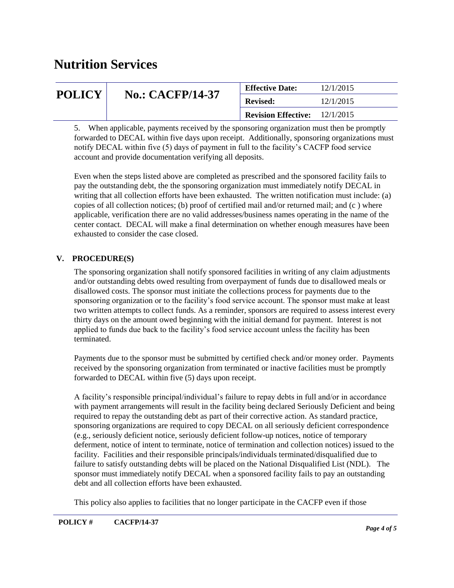| <b>POLICY</b> | <b>No.: CACFP/14-37</b> | <b>Effective Date:</b>                 | 12/1/2015 |
|---------------|-------------------------|----------------------------------------|-----------|
|               |                         | <b>Revised:</b>                        | 12/1/2015 |
|               |                         | <b>Revision Effective:</b> $12/1/2015$ |           |

5. When applicable, payments received by the sponsoring organization must then be promptly forwarded to DECAL within five days upon receipt. Additionally, sponsoring organizations must notify DECAL within five (5) days of payment in full to the facility's CACFP food service account and provide documentation verifying all deposits.

Even when the steps listed above are completed as prescribed and the sponsored facility fails to pay the outstanding debt, the the sponsoring organization must immediately notify DECAL in writing that all collection efforts have been exhausted. The written notification must include: (a) copies of all collection notices; (b) proof of certified mail and/or returned mail; and  $(c)$  where applicable, verification there are no valid addresses/business names operating in the name of the center contact. DECAL will make a final determination on whether enough measures have been exhausted to consider the case closed.

### **V. PROCEDURE(S)**

The sponsoring organization shall notify sponsored facilities in writing of any claim adjustments and/or outstanding debts owed resulting from overpayment of funds due to disallowed meals or disallowed costs. The sponsor must initiate the collections process for payments due to the sponsoring organization or to the facility's food service account. The sponsor must make at least two written attempts to collect funds. As a reminder, sponsors are required to assess interest every thirty days on the amount owed beginning with the initial demand for payment. Interest is not applied to funds due back to the facility's food service account unless the facility has been terminated.

Payments due to the sponsor must be submitted by certified check and/or money order. Payments received by the sponsoring organization from terminated or inactive facilities must be promptly forwarded to DECAL within five (5) days upon receipt.

A facility's responsible principal/individual's failure to repay debts in full and/or in accordance with payment arrangements will result in the facility being declared Seriously Deficient and being required to repay the outstanding debt as part of their corrective action. As standard practice, sponsoring organizations are required to copy DECAL on all seriously deficient correspondence (e.g., seriously deficient notice, seriously deficient follow-up notices, notice of temporary deferment, notice of intent to terminate, notice of termination and collection notices) issued to the facility. Facilities and their responsible principals/individuals terminated/disqualified due to failure to satisfy outstanding debts will be placed on the National Disqualified List (NDL). The sponsor must immediately notify DECAL when a sponsored facility fails to pay an outstanding debt and all collection efforts have been exhausted.

This policy also applies to facilities that no longer participate in the CACFP even if those